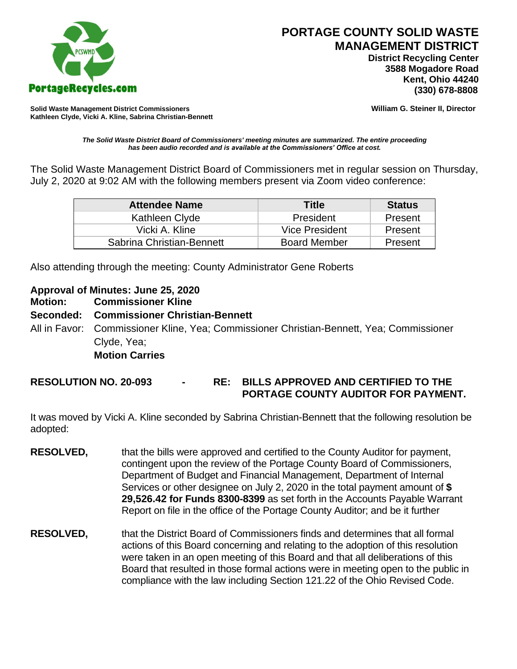

 **District Recycling Center 3588 Mogadore Road Kent, Ohio 44240**

**Solid Waste Management District Commissioners William G. Steiner II, Director Kathleen Clyde, Vicki A. Kline, Sabrina Christian-Bennett** 

*The Solid Waste District Board of Commissioners' meeting minutes are summarized. The entire proceeding has been audio recorded and is available at the Commissioners' Office at cost.*

The Solid Waste Management District Board of Commissioners met in regular session on Thursday, July 2, 2020 at 9:02 AM with the following members present via Zoom video conference:

| <b>Attendee Name</b>      | <b>Title</b>          | <b>Status</b> |
|---------------------------|-----------------------|---------------|
| Kathleen Clyde            | President             | Present       |
| Vicki A. Kline            | <b>Vice President</b> | Present       |
| Sabrina Christian-Bennett | <b>Board Member</b>   | Present       |

Also attending through the meeting: County Administrator Gene Roberts

#### **Approval of Minutes: June 25, 2020**

**Motion: Commissioner Kline**

#### **Seconded: Commissioner Christian-Bennett**

All in Favor: Commissioner Kline, Yea; Commissioner Christian-Bennett, Yea; Commissioner Clyde, Yea;

### **Motion Carries**

**RESOLUTION NO. 20-093 - RE: BILLS APPROVED AND CERTIFIED TO THE PORTAGE COUNTY AUDITOR FOR PAYMENT.** 

It was moved by Vicki A. Kline seconded by Sabrina Christian-Bennett that the following resolution be adopted:

- **RESOLVED,** that the bills were approved and certified to the County Auditor for payment, contingent upon the review of the Portage County Board of Commissioners, Department of Budget and Financial Management, Department of Internal Services or other designee on July 2, 2020 in the total payment amount of **\$ 29,526.42 for Funds 8300-8399** as set forth in the Accounts Payable Warrant Report on file in the office of the Portage County Auditor; and be it further
- **RESOLVED,** that the District Board of Commissioners finds and determines that all formal actions of this Board concerning and relating to the adoption of this resolution were taken in an open meeting of this Board and that all deliberations of this Board that resulted in those formal actions were in meeting open to the public in compliance with the law including Section 121.22 of the Ohio Revised Code.